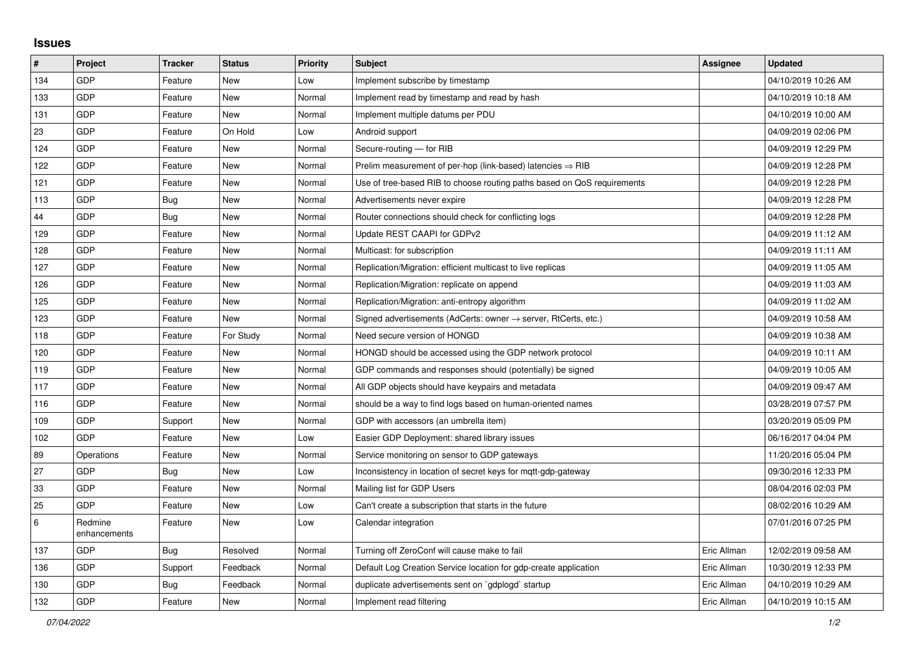## **Issues**

| #   | Project                 | <b>Tracker</b> | <b>Status</b> | Priority | <b>Subject</b>                                                             | Assignee    | <b>Updated</b>      |
|-----|-------------------------|----------------|---------------|----------|----------------------------------------------------------------------------|-------------|---------------------|
| 134 | GDP                     | Feature        | <b>New</b>    | Low      | Implement subscribe by timestamp                                           |             | 04/10/2019 10:26 AM |
| 133 | GDP                     | Feature        | <b>New</b>    | Normal   | Implement read by timestamp and read by hash                               |             | 04/10/2019 10:18 AM |
| 131 | GDP                     | Feature        | <b>New</b>    | Normal   | Implement multiple datums per PDU                                          |             | 04/10/2019 10:00 AM |
| 23  | GDP                     | Feature        | On Hold       | Low      | Android support                                                            |             | 04/09/2019 02:06 PM |
| 124 | GDP                     | Feature        | <b>New</b>    | Normal   | Secure-routing - for RIB                                                   |             | 04/09/2019 12:29 PM |
| 122 | GDP                     | Feature        | <b>New</b>    | Normal   | Prelim measurement of per-hop (link-based) latencies $\Rightarrow$ RIB     |             | 04/09/2019 12:28 PM |
| 121 | GDP                     | Feature        | New           | Normal   | Use of tree-based RIB to choose routing paths based on QoS requirements    |             | 04/09/2019 12:28 PM |
| 113 | GDP                     | Bug            | <b>New</b>    | Normal   | Advertisements never expire                                                |             | 04/09/2019 12:28 PM |
| 44  | GDP                     | <b>Bug</b>     | <b>New</b>    | Normal   | Router connections should check for conflicting logs                       |             | 04/09/2019 12:28 PM |
| 129 | GDP                     | Feature        | <b>New</b>    | Normal   | Update REST CAAPI for GDPv2                                                |             | 04/09/2019 11:12 AM |
| 128 | GDP                     | Feature        | <b>New</b>    | Normal   | Multicast: for subscription                                                |             | 04/09/2019 11:11 AM |
| 127 | GDP                     | Feature        | <b>New</b>    | Normal   | Replication/Migration: efficient multicast to live replicas                |             | 04/09/2019 11:05 AM |
| 126 | GDP                     | Feature        | <b>New</b>    | Normal   | Replication/Migration: replicate on append                                 |             | 04/09/2019 11:03 AM |
| 125 | GDP                     | Feature        | <b>New</b>    | Normal   | Replication/Migration: anti-entropy algorithm                              |             | 04/09/2019 11:02 AM |
| 123 | GDP                     | Feature        | <b>New</b>    | Normal   | Signed advertisements (AdCerts: owner $\rightarrow$ server, RtCerts, etc.) |             | 04/09/2019 10:58 AM |
| 118 | GDP                     | Feature        | For Study     | Normal   | Need secure version of HONGD                                               |             | 04/09/2019 10:38 AM |
| 120 | GDP                     | Feature        | <b>New</b>    | Normal   | HONGD should be accessed using the GDP network protocol                    |             | 04/09/2019 10:11 AM |
| 119 | GDP                     | Feature        | <b>New</b>    | Normal   | GDP commands and responses should (potentially) be signed                  |             | 04/09/2019 10:05 AM |
| 117 | GDP                     | Feature        | <b>New</b>    | Normal   | All GDP objects should have keypairs and metadata                          |             | 04/09/2019 09:47 AM |
| 116 | GDP                     | Feature        | <b>New</b>    | Normal   | should be a way to find logs based on human-oriented names                 |             | 03/28/2019 07:57 PM |
| 109 | GDP                     | Support        | <b>New</b>    | Normal   | GDP with accessors (an umbrella item)                                      |             | 03/20/2019 05:09 PM |
| 102 | GDP                     | Feature        | <b>New</b>    | Low      | Easier GDP Deployment: shared library issues                               |             | 06/16/2017 04:04 PM |
| 89  | Operations              | Feature        | <b>New</b>    | Normal   | Service monitoring on sensor to GDP gateways                               |             | 11/20/2016 05:04 PM |
| 27  | GDP                     | Bug            | <b>New</b>    | Low      | Inconsistency in location of secret keys for mgtt-gdp-gateway              |             | 09/30/2016 12:33 PM |
| 33  | GDP                     | Feature        | <b>New</b>    | Normal   | Mailing list for GDP Users                                                 |             | 08/04/2016 02:03 PM |
| 25  | GDP                     | Feature        | New           | Low      | Can't create a subscription that starts in the future                      |             | 08/02/2016 10:29 AM |
| 6   | Redmine<br>enhancements | Feature        | New           | Low      | Calendar integration                                                       |             | 07/01/2016 07:25 PM |
| 137 | GDP                     | <b>Bug</b>     | Resolved      | Normal   | Turning off ZeroConf will cause make to fail                               | Eric Allman | 12/02/2019 09:58 AM |
| 136 | GDP                     | Support        | Feedback      | Normal   | Default Log Creation Service location for gdp-create application           | Eric Allman | 10/30/2019 12:33 PM |
| 130 | GDP                     | <b>Bug</b>     | Feedback      | Normal   | duplicate advertisements sent on `gdplogd` startup                         | Eric Allman | 04/10/2019 10:29 AM |
| 132 | GDP                     | Feature        | <b>New</b>    | Normal   | Implement read filtering                                                   | Eric Allman | 04/10/2019 10:15 AM |